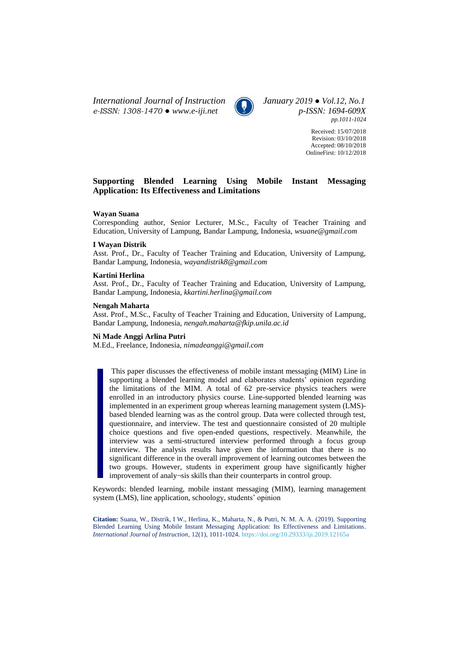*International Journal of Instruction January 2019 ● Vol.12, No.1 e-ISSN: 1308-1470 ● [www.e-iji.net](http://www.e-iji.net/) p-ISSN: 1694-609X*



*pp.1011-1024*

Received: 15/07/2018 Revision: 03/10/2018 Accepted: 08/10/2018 OnlineFirst: 10/12/2018

# **Supporting Blended Learning Using Mobile Instant Messaging Application: Its Effectiveness and Limitations**

### **Wayan Suana**

Corresponding author, Senior Lecturer, M.Sc., Faculty of Teacher Training and Education, University of Lampung, Bandar Lampung, Indonesia, *wsuane@gmail.com*

### **I Wayan Distrik**

Asst. Prof., Dr., Faculty of Teacher Training and Education, University of Lampung, Bandar Lampung, Indonesia, *wayandistrik8@gmail.com*

### **Kartini Herlina**

Asst. Prof., Dr., Faculty of Teacher Training and Education, University of Lampung, Bandar Lampung, Indonesia, *kkartini.herlina@gmail.com*

#### **Nengah Maharta**

Asst. Prof., M.Sc., Faculty of Teacher Training and Education, University of Lampung, Bandar Lampung, Indonesia, *nengah.maharta@fkip.unila.ac.id*

### **Ni Made Anggi Arlina Putri**

M.Ed., Freelance, Indonesia, *nimadeanggi@gmail.com*

This paper discusses the effectiveness of mobile instant messaging (MIM) Line in supporting a blended learning model and elaborates students' opinion regarding the limitations of the MIM. A total of 62 pre-service physics teachers were enrolled in an introductory physics course. Line-supported blended learning was implemented in an experiment group whereas learning management system (LMS) based blended learning was as the control group. Data were collected through test, questionnaire, and interview. The test and questionnaire consisted of 20 multiple choice questions and five open-ended questions, respectively. Meanwhile, the interview was a semi-structured interview performed through a focus group interview. The analysis results have given the information that there is no significant difference in the overall improvement of learning outcomes between the two groups. However, students in experiment group have significantly higher improvement of analy¬sis skills than their counterparts in control group.

Keywords: blended learning, mobile instant messaging (MIM), learning management system (LMS), line application, schoology, students' opinion

**Citation:** Suana, W., Distrik, I W., Herlina, K., Maharta, N., & Putri, N. M. A. A. (2019). Supporting Blended Learning Using Mobile Instant Messaging Application: Its Effectiveness and Limitations. *International Journal of Instruction*, 12(1), 1011-1024. <https://doi.org/10.29333/iji.2019.12165a>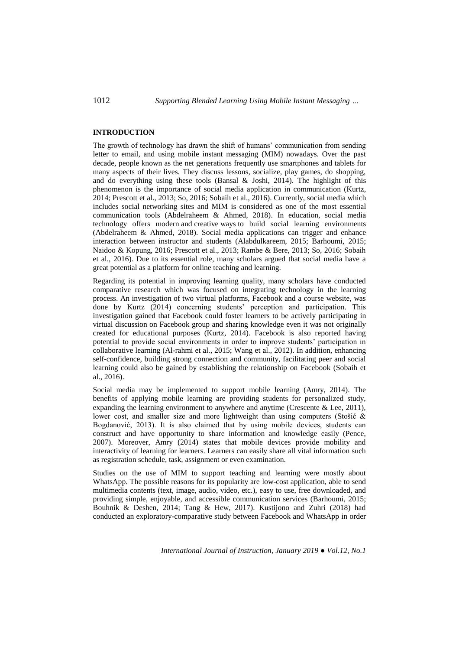## **INTRODUCTION**

The growth of technology has drawn the shift of humans' communication from sending letter to email, and using mobile instant messaging (MIM) nowadays. Over the past decade, people known as the net generations frequently use smartphones and tablets for many aspects of their lives. They discuss lessons, socialize, play games, do shopping, and do everything using these tools (Bansal & Joshi, 2014). The highlight of this phenomenon is the importance of social media application in communication (Kurtz, 2014; Prescott et al., 2013; So, 2016; Sobaih et al., 2016). Currently, social media which includes social networking sites and MIM is considered as one of the most essential communication tools (Abdelraheem & Ahmed, 2018). In education, social media technology offers modern and creative ways to build social learning environments (Abdelraheem & Ahmed, 2018). Social media applications can trigger and enhance interaction between instructor and students (Alabdulkareem, 2015; Barhoumi, 2015; Naidoo & Kopung, 2016; Prescott et al., 2013; Rambe & Bere, 2013; So, 2016; Sobaih et al., 2016). Due to its essential role, many scholars argued that social media have a great potential as a platform for online teaching and learning.

Regarding its potential in improving learning quality, many scholars have conducted comparative research which was focused on integrating technology in the learning process. An investigation of two virtual platforms, Facebook and a course website, was done by Kurtz (2014) concerning students' perception and participation. This investigation gained that Facebook could foster learners to be actively participating in virtual discussion on Facebook group and sharing knowledge even it was not originally created for educational purposes (Kurtz, 2014). Facebook is also reported having potential to provide social environments in order to improve students' participation in collaborative learning (Al-rahmi et al., 2015; Wang et al., 2012). In addition, enhancing self-confidence, building strong connection and community, facilitating peer and social learning could also be gained by establishing the relationship on Facebook (Sobaih et al., 2016).

Social media may be implemented to support mobile learning (Amry, 2014). The benefits of applying mobile learning are providing students for personalized study, expanding the learning environment to anywhere and anytime (Crescente  $&$  Lee, 2011), lower cost, and smaller size and more lightweight than using computers (Stošić & Bogdanović, 2013). It is also claimed that by using mobile devices, students can construct and have opportunity to share information and knowledge easily (Pence, 2007). Moreover, Amry (2014) states that mobile devices provide mobility and interactivity of learning for learners. Learners can easily share all vital information such as registration schedule, task, assignment or even examination.

Studies on the use of MIM to support teaching and learning were mostly about WhatsApp. The possible reasons for its popularity are low-cost application, able to send multimedia contents (text, image, audio, video, etc.), easy to use, free downloaded, and providing simple, enjoyable, and accessible communication services (Barhoumi, 2015; Bouhnik & Deshen, 2014; Tang & Hew, 2017). Kustijono and Zuhri (2018) had conducted an exploratory-comparative study between Facebook and WhatsApp in order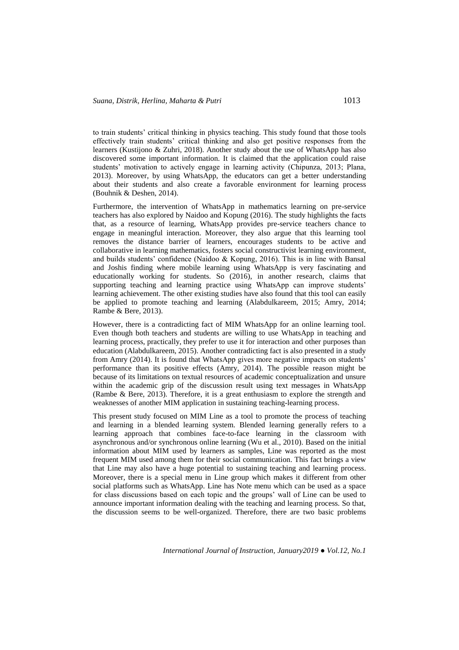to train students' critical thinking in physics teaching. This study found that those tools effectively train students' critical thinking and also get positive responses from the learners (Kustijono & Zuhri, 2018). Another study about the use of WhatsApp has also discovered some important information. It is claimed that the application could raise students' motivation to actively engage in learning activity (Chipunza, 2013; Plana, 2013). Moreover, by using WhatsApp, the educators can get a better understanding about their students and also create a favorable environment for learning process (Bouhnik & Deshen, 2014).

Furthermore, the intervention of WhatsApp in mathematics learning on pre-service teachers has also explored by Naidoo and Kopung (2016). The study highlights the facts that, as a resource of learning, WhatsApp provides pre-service teachers chance to engage in meaningful interaction. Moreover, they also argue that this learning tool removes the distance barrier of learners, encourages students to be active and collaborative in learning mathematics, fosters social constructivist learning environment, and builds students' confidence (Naidoo & Kopung, 2016). This is in line with Bansal and Joshis finding where mobile learning using WhatsApp is very fascinating and educationally working for students. So (2016), in another research, claims that supporting teaching and learning practice using WhatsApp can improve students' learning achievement. The other existing studies have also found that this tool can easily be applied to promote teaching and learning (Alabdulkareem, 2015; Amry, 2014; Rambe & Bere, 2013).

However, there is a contradicting fact of MIM WhatsApp for an online learning tool. Even though both teachers and students are willing to use WhatsApp in teaching and learning process, practically, they prefer to use it for interaction and other purposes than education (Alabdulkareem, 2015). Another contradicting fact is also presented in a study from Amry (2014). It is found that WhatsApp gives more negative impacts on students' performance than its positive effects (Amry, 2014). The possible reason might be because of its limitations on textual resources of academic conceptualization and unsure within the academic grip of the discussion result using text messages in WhatsApp (Rambe & Bere, 2013). Therefore, it is a great enthusiasm to explore the strength and weaknesses of another MIM application in sustaining teaching-learning process.

This present study focused on MIM Line as a tool to promote the process of teaching and learning in a blended learning system. Blended learning generally refers to a learning approach that combines face-to-face learning in the classroom with asynchronous and/or synchronous online learning (Wu et al., 2010). Based on the initial information about MIM used by learners as samples, Line was reported as the most frequent MIM used among them for their social communication. This fact brings a view that Line may also have a huge potential to sustaining teaching and learning process. Moreover, there is a special menu in Line group which makes it different from other social platforms such as WhatsApp. Line has Note menu which can be used as a space for class discussions based on each topic and the groups' wall of Line can be used to announce important information dealing with the teaching and learning process. So that, the discussion seems to be well-organized. Therefore, there are two basic problems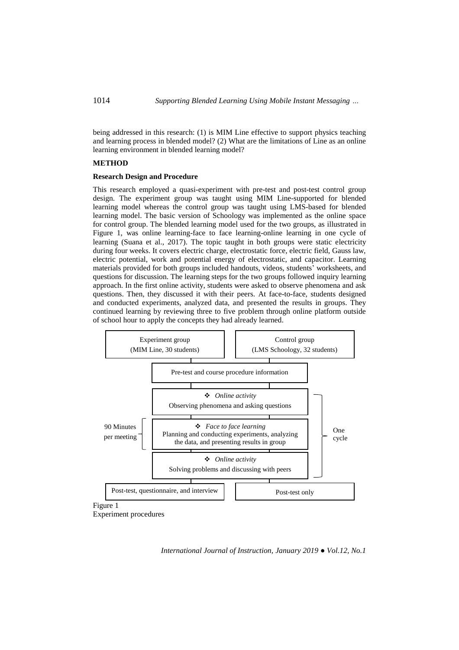being addressed in this research: (1) is MIM Line effective to support physics teaching and learning process in blended model? (2) What are the limitations of Line as an online learning environment in blended learning model?

## **METHOD**

### **Research Design and Procedure**

This research employed a quasi-experiment with pre-test and post-test control group design. The experiment group was taught using MIM Line-supported for blended learning model whereas the control group was taught using LMS-based for blended learning model. The basic version of Schoology was implemented as the online space for control group. The blended learning model used for the two groups, as illustrated in Figure 1, was online learning-face to face learning-online learning in one cycle of learning (Suana et al., 2017). The topic taught in both groups were static electricity during four weeks. It covers electric charge, electrostatic force, electric field, Gauss law, electric potential, work and potential energy of electrostatic, and capacitor. Learning materials provided for both groups included handouts, videos, students' worksheets, and questions for discussion. The learning steps for the two groups followed inquiry learning approach. In the first online activity, students were asked to observe phenomena and ask questions. Then, they discussed it with their peers. At face-to-face, students designed and conducted experiments, analyzed data, and presented the results in groups. They continued learning by reviewing three to five problem through online platform outside of school hour to apply the concepts they had already learned.



Experiment procedures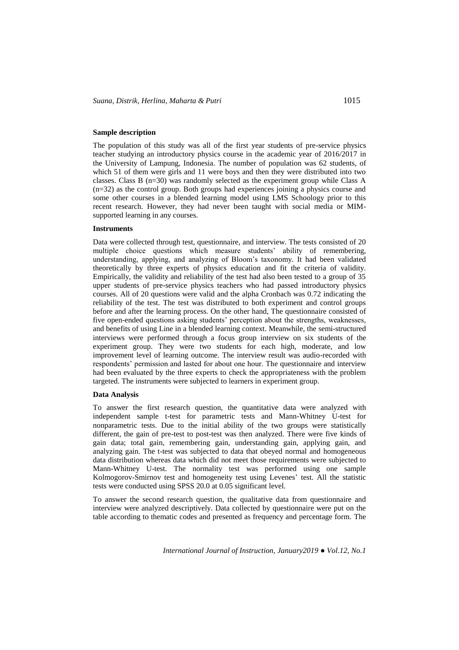## **Sample description**

The population of this study was all of the first year students of pre-service physics teacher studying an introductory physics course in the academic year of 2016/2017 in the University of Lampung, Indonesia. The number of population was 62 students, of which 51 of them were girls and 11 were boys and then they were distributed into two classes. Class B (n=30) was randomly selected as the experiment group while Class A (n=32) as the control group. Both groups had experiences joining a physics course and some other courses in a blended learning model using LMS Schoology prior to this recent research. However, they had never been taught with social media or MIMsupported learning in any courses.

#### **Instruments**

Data were collected through test, questionnaire, and interview. The tests consisted of 20 multiple choice questions which measure students' ability of remembering, understanding, applying, and analyzing of Bloom's taxonomy. It had been validated theoretically by three experts of physics education and fit the criteria of validity. Empirically, the validity and reliability of the test had also been tested to a group of 35 upper students of pre-service physics teachers who had passed introductory physics courses. All of 20 questions were valid and the alpha Cronbach was 0.72 indicating the reliability of the test. The test was distributed to both experiment and control groups before and after the learning process. On the other hand, The questionnaire consisted of five open-ended questions asking students' perception about the strengths, weaknesses, and benefits of using Line in a blended learning context. Meanwhile, the semi-structured interviews were performed through a focus group interview on six students of the experiment group. They were two students for each high, moderate, and low improvement level of learning outcome. The interview result was audio-recorded with respondents' permission and lasted for about one hour. The questionnaire and interview had been evaluated by the three experts to check the appropriateness with the problem targeted. The instruments were subjected to learners in experiment group.

#### **Data Analysis**

To answer the first research question, the quantitative data were analyzed with independent sample t-test for parametric tests and Mann-Whitney U-test for nonparametric tests. Due to the initial ability of the two groups were statistically different, the gain of pre-test to post-test was then analyzed. There were five kinds of gain data; total gain, remembering gain, understanding gain, applying gain, and analyzing gain. The t-test was subjected to data that obeyed normal and homogeneous data distribution whereas data which did not meet those requirements were subjected to Mann-Whitney U-test. The normality test was performed using one sample Kolmogorov-Smirnov test and homogeneity test using Levenes' test. All the statistic tests were conducted using SPSS 20.0 at 0.05 significant level.

To answer the second research question, the qualitative data from questionnaire and interview were analyzed descriptively. Data collected by questionnaire were put on the table according to thematic codes and presented as frequency and percentage form. The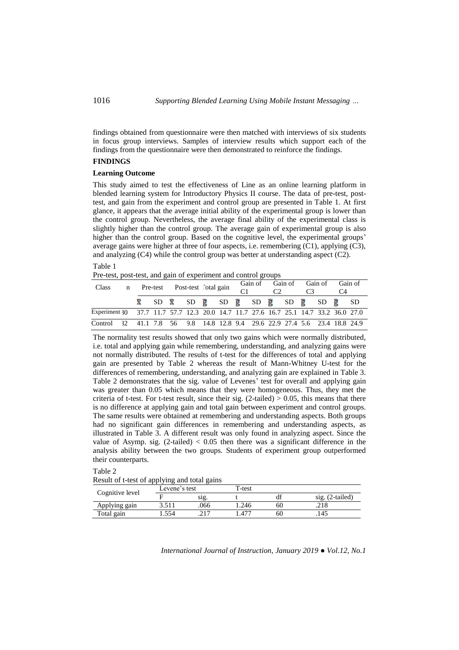findings obtained from questionnaire were then matched with interviews of six students in focus group interviews. Samples of interview results which support each of the findings from the questionnaire were then demonstrated to reinforce the findings.

# **FINDINGS**

Table 1

# **Learning Outcome**

This study aimed to test the effectiveness of Line as an online learning platform in blended learning system for Introductory Physics II course. The data of pre-test, posttest, and gain from the experiment and control group are presented in Table 1. At first glance, it appears that the average initial ability of the experimental group is lower than the control group. Nevertheless, the average final ability of the experimental class is slightly higher than the control group. The average gain of experimental group is also higher than the control group. Based on the cognitive level, the experimental groups' average gains were higher at three of four aspects, i.e. remembering (C1), applying (C3), and analyzing (C4) while the control group was better at understanding aspect (C2).

| Pre-test, post-test, and gain of experiment and control groups |  |  |  |  |
|----------------------------------------------------------------|--|--|--|--|
|                                                                |  |  |  |  |

| <b>Class</b>                                                                        | n Pre-test Post-test lotal gain |  |  |  | Gain of Gain of Gain of Gain of                                                                         |  | C <sub>4</sub> |  |
|-------------------------------------------------------------------------------------|---------------------------------|--|--|--|---------------------------------------------------------------------------------------------------------|--|----------------|--|
|                                                                                     |                                 |  |  |  | $\bar{x}$ SD $\bar{x}$ SD $\bar{g}$ SD $\bar{g}$ SD $\bar{g}$ SD $\bar{g}$ SD $\bar{g}$ SD $\bar{g}$ SD |  |                |  |
| Experiment 30 37.7 11.7 57.7 12.3 20.0 14.7 11.7 27.6 16.7 25.1 14.7 33.2 36.0 27.0 |                                 |  |  |  |                                                                                                         |  |                |  |
| Control 32 41.1 7.8 56 9.8 14.8 12.8 9.4 29.6 22.9 27.4 5.6 23.4 18.8 24.9          |                                 |  |  |  |                                                                                                         |  |                |  |

The normality test results showed that only two gains which were normally distributed, i.e. total and applying gain while remembering, understanding, and analyzing gains were not normally distributed. The results of t-test for the differences of total and applying gain are presented by Table 2 whereas the result of Mann-Whitney U-test for the differences of remembering, understanding, and analyzing gain are explained in Table 3. Table 2 demonstrates that the sig. value of Levenes' test for overall and applying gain was greater than 0.05 which means that they were homogeneous. Thus, they met the criteria of t-test. For t-test result, since their sig.  $(2$ -tailed)  $> 0.05$ , this means that there is no difference at applying gain and total gain between experiment and control groups. The same results were obtained at remembering and understanding aspects. Both groups had no significant gain differences in remembering and understanding aspects, as illustrated in Table 3. A different result was only found in analyzing aspect. Since the value of Asymp. sig.  $(2$ -tailed)  $< 0.05$  then there was a significant difference in the analysis ability between the two groups. Students of experiment group outperformed their counterparts.

Table 2

Result of t-test of applying and total gains

|                 | Levene's test |       | $T-test$ |    |                      |
|-----------------|---------------|-------|----------|----|----------------------|
| Cognitive level |               | S1Q.  |          | df | $(2-tailed)$<br>S1g. |
| Applying gain   |               | .066  | .246     | 60 | .410                 |
| Total gain      | 554           | າ 1 7 | $47-$    | 60 | .145                 |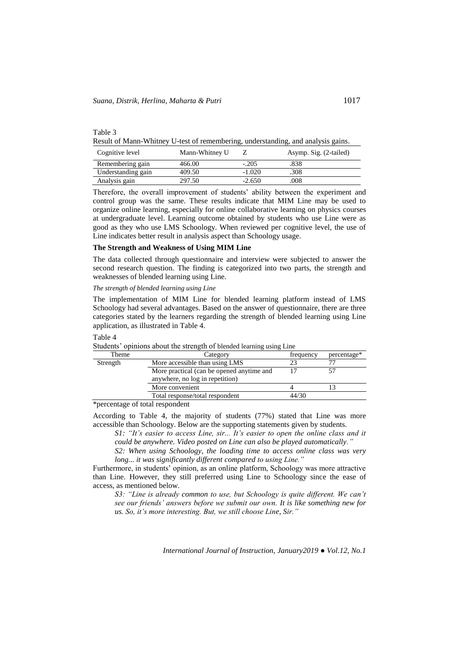Table 3

Result of Mann-Whitney U-test of remembering, understanding, and analysis gains.

| Cognitive level    | Mann-Whitney U |          | Asymp. Sig. (2-tailed) |
|--------------------|----------------|----------|------------------------|
| Remembering gain   | 466.00         | $-.205$  | .838                   |
| Understanding gain | 409.50         | $-1.020$ | .308                   |
| Analysis gain      | 297.50         | $-2.650$ | 008                    |

Therefore, the overall improvement of students' ability between the experiment and control group was the same. These results indicate that MIM Line may be used to organize online learning, especially for online collaborative learning on physics courses at undergraduate level. Learning outcome obtained by students who use Line were as good as they who use LMS Schoology. When reviewed per cognitive level, the use of Line indicates better result in analysis aspect than Schoology usage.

### **The Strength and Weakness of Using MIM Line**

The data collected through questionnaire and interview were subjected to answer the second research question. The finding is categorized into two parts, the strength and weaknesses of blended learning using Line.

## *The strength of blended learning using Line*

The implementation of MIM Line for blended learning platform instead of LMS Schoology had several advantages. Based on the answer of questionnaire, there are three categories stated by the learners regarding the strength of blended learning using Line application, as illustrated in Table 4.

### Table 4

|          | <u>opiilloilo woowy vily outsilged of olymper femiling world middle</u> |           |             |
|----------|-------------------------------------------------------------------------|-----------|-------------|
| Theme    | Category                                                                | frequency | percentage* |
| Strength | More accessible than using LMS                                          |           |             |
|          | More practical (can be opened anytime and                               |           |             |
|          | anywhere, no log in repetition)                                         |           |             |
|          | More convenient                                                         |           |             |
|          | Total response/total respondent                                         | 44/30     |             |
| $-1$     | $\alpha$ . The set of $\alpha$                                          |           |             |

Students' opinions about the strength of blended learning using Line

\*percentage of total respondent

According to Table 4, the majority of students (77%) stated that Line was more accessible than Schoology. Below are the supporting statements given by students.

*S1: "It's easier to access Line, sir... It's easier to open the online class and it could be anywhere. Video posted on Line can also be played automatically."*

*S2: When using Schoology, the loading time to access online class was very long... it was significantly different compared to using Line."*

Furthermore, in students' opinion, as an online platform, Schoology was more attractive than Line. However, they still preferred using Line to Schoology since the ease of access, as mentioned below.

*S3: "Line is already common to use, but Schoology is quite different. We can't see our friends' answers before we submit our own. It is like something new for us. So, it's more interesting. But, we still choose Line, Sir."*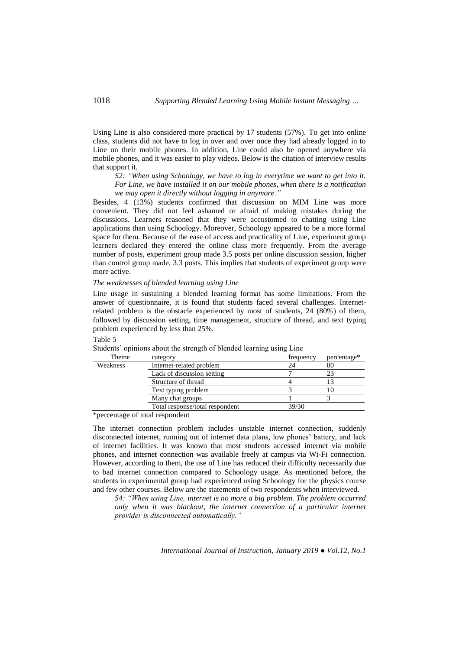Using Line is also considered more practical by 17 students (57%). To get into online class, students did not have to log in over and over once they had already logged in to Line on their mobile phones. In addition, Line could also be opened anywhere via mobile phones, and it was easier to play videos. Below is the citation of interview results that support it.

*S2: "When using Schoology, we have to log in everytime we want to get into it. For Line, we have installed it on our mobile phones, when there is a notification we may open it directly without logging in anymore."*

Besides, 4 (13%) students confirmed that discussion on MIM Line was more convenient. They did not feel ashamed or afraid of making mistakes during the discussions. Learners reasoned that they were accustomed to chatting using Line applications than using Schoology. Moreover, Schoology appeared to be a more formal space for them. Because of the ease of access and practicality of Line, experiment group learners declared they entered the online class more frequently. From the average number of posts, experiment group made 3.5 posts per online discussion session, higher than control group made, 3.3 posts. This implies that students of experiment group were more active.

### *The weaknesses of blended learning using Line*

Line usage in sustaining a blended learning format has some limitations. From the answer of questionnaire, it is found that students faced several challenges. Internetrelated problem is the obstacle experienced by most of students, 24 (80%) of them, followed by discussion setting, time management, structure of thread, and text typing problem experienced by less than 25%.

#### Table 5

| Theme    | category                        | frequency | percentage* |
|----------|---------------------------------|-----------|-------------|
| Weakness | Internet-related problem        |           |             |
|          | Lack of discussion setting      |           |             |
|          | Structure of thread             |           |             |
|          | Text typing problem             |           |             |
|          | Many chat groups                |           |             |
|          | Total response/total respondent | 39/30     |             |
|          |                                 |           |             |

Students' opinions about the strength of blended learning using Line

\*percentage of total respondent

The internet connection problem includes unstable internet connection, suddenly disconnected internet, running out of internet data plans, low phones' battery, and lack of internet facilities. It was known that most students accessed internet via mobile phones, and internet connection was available freely at campus via Wi-Fi connection. However, according to them, the use of Line has reduced their difficulty necessarily due to bad internet connection compared to Schoology usage. As mentioned before, the students in experimental group had experienced using Schoology for the physics course and few other courses. Below are the statements of two respondents when interviewed.

*S4: "When using Line, internet is no more a big problem. The problem occurred only when it was blackout, the internet connection of a particular internet provider is disconnected automatically."*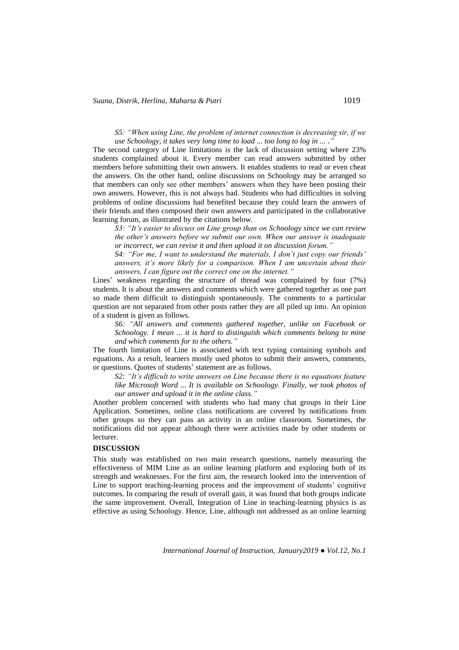*S5: "When using Line, the problem of internet connection is decreasing sir, if we use Schoology, it takes very long time to load ... too long to log in ... ."*

The second category of Line limitations is the lack of discussion setting where 23% students complained about it. Every member can read answers submitted by other members before submitting their own answers. It enables students to read or even cheat the answers. On the other hand, online discussions on Schoology may be arranged so that members can only see other members' answers when they have been posting their own answers. However, this is not always bad. Students who had difficulties in solving problems of online discussions had benefited because they could learn the answers of their friends and then composed their own answers and participated in the collaborative learning forum, as illustrated by the citations below.

*S3: "It's easier to discuss on Line group than on Schoology since we can review the other's answers before we submit our own. When our answer is inadequate or incorrect, we can revise it and then upload it on discussion forum."*

*S4: "For me, I want to understand the materials, I don't just copy our friends' answers, it's more likely for a comparison. When I am uncertain about their answers, I can figure out the correct one on the internet."*

Lines' weakness regarding the structure of thread was complained by four (7%) students. It is about the answers and comments which were gathered together as one part so made them difficult to distinguish spontaneously. The comments to a particular question are not separated from other posts rather they are all piled up into. An opinion of a student is given as follows.

*S6: "All answers and comments gathered together, unlike on Facebook or Schoology. I mean ... it is hard to distinguish which comments belong to mine and which comments for to the others."*

The fourth limitation of Line is associated with text typing containing symbols and equations. As a result, learners mostly used photos to submit their answers, comments, or questions. Quotes of students' statement are as follows.

*S2: "It's difficult to write answers on Line because there is no equations feature like Microsoft Word ... It is available on Schoology. Finally, we took photos of our answer and upload it in the online class."*

Another problem concerned with students who had many chat groups in their Line Application. Sometimes, online class notifications are covered by notifications from other groups so they can pass an activity in an online classroom. Sometimes, the notifications did not appear although there were activities made by other students or lecturer.

### **DISCUSSION**

This study was established on two main research questions, namely measuring the effectiveness of MIM Line as an online learning platform and exploring both of its strength and weaknesses. For the first aim, the research looked into the intervention of Line to support teaching-learning process and the improvement of students' cognitive outcomes. In comparing the result of overall gain, it was found that both groups indicate the same improvement. Overall, Integration of Line in teaching-learning physics is as effective as using Schoology. Hence, Line, although not addressed as an online learning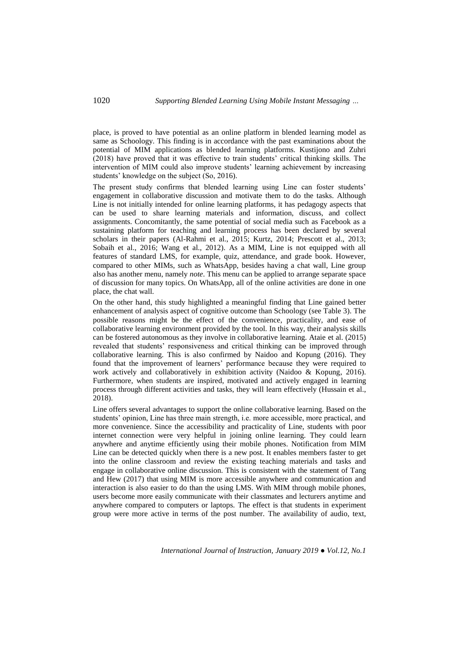place, is proved to have potential as an online platform in blended learning model as same as Schoology. This finding is in accordance with the past examinations about the potential of MIM applications as blended learning platforms. Kustijono and Zuhri (2018) have proved that it was effective to train students' critical thinking skills. The intervention of MIM could also improve students' learning achievement by increasing students' knowledge on the subject (So, 2016).

The present study confirms that blended learning using Line can foster students' engagement in collaborative discussion and motivate them to do the tasks. Although Line is not initially intended for online learning platforms, it has pedagogy aspects that can be used to share learning materials and information, discuss, and collect assignments. Concomitantly, the same potential of social media such as Facebook as a sustaining platform for teaching and learning process has been declared by several scholars in their papers (Al-Rahmi et al., 2015; Kurtz, 2014; Prescott et al., 2013; Sobaih et al., 2016; Wang et al., 2012). As a MIM, Line is not equipped with all features of standard LMS, for example, quiz, attendance, and grade book. However, compared to other MIMs, such as WhatsApp, besides having a chat wall, Line group also has another menu, namely *note*. This menu can be applied to arrange separate space of discussion for many topics. On WhatsApp, all of the online activities are done in one place, the chat wall.

On the other hand, this study highlighted a meaningful finding that Line gained better enhancement of analysis aspect of cognitive outcome than Schoology (see Table 3). The possible reasons might be the effect of the convenience, practicality, and ease of collaborative learning environment provided by the tool. In this way, their analysis skills can be fostered autonomous as they involve in collaborative learning. Ataie et al. (2015) revealed that students' responsiveness and critical thinking can be improved through collaborative learning. This is also confirmed by Naidoo and Kopung (2016). They found that the improvement of learners' performance because they were required to work actively and collaboratively in exhibition activity (Naidoo & Kopung, 2016). Furthermore, when students are inspired, motivated and actively engaged in learning process through different activities and tasks, they will learn effectively (Hussain et al., 2018).

Line offers several advantages to support the online collaborative learning. Based on the students' opinion, Line has three main strength, i.e. more accessible, more practical, and more convenience. Since the accessibility and practicality of Line, students with poor internet connection were very helpful in joining online learning. They could learn anywhere and anytime efficiently using their mobile phones. Notification from MIM Line can be detected quickly when there is a new post. It enables members faster to get into the online classroom and review the existing teaching materials and tasks and engage in collaborative online discussion. This is consistent with the statement of Tang and Hew (2017) that using MIM is more accessible anywhere and communication and interaction is also easier to do than the using LMS. With MIM through mobile phones, users become more easily communicate with their classmates and lecturers anytime and anywhere compared to computers or laptops. The effect is that students in experiment group were more active in terms of the post number. The availability of audio, text,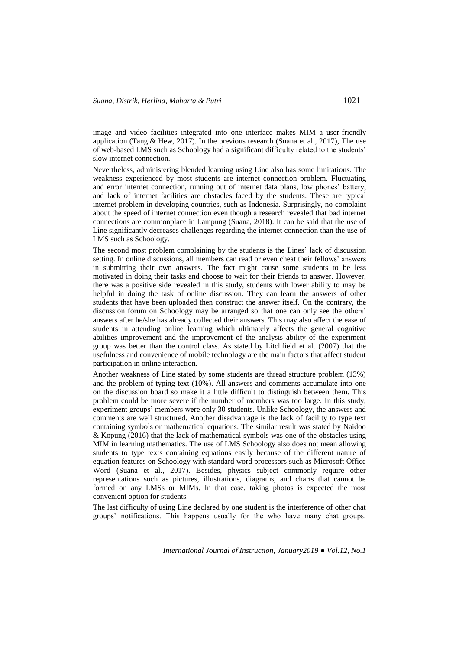image and video facilities integrated into one interface makes MIM a user-friendly application (Tang  $&$  Hew, 2017). In the previous research (Suana et al., 2017), The use of web-based LMS such as Schoology had a significant difficulty related to the students' slow internet connection.

Nevertheless, administering blended learning using Line also has some limitations. The weakness experienced by most students are internet connection problem. Fluctuating and error internet connection, running out of internet data plans, low phones' battery, and lack of internet facilities are obstacles faced by the students. These are typical internet problem in developing countries, such as Indonesia. Surprisingly, no complaint about the speed of internet connection even though a research revealed that bad internet connections are commonplace in Lampung (Suana, 2018). It can be said that the use of Line significantly decreases challenges regarding the internet connection than the use of LMS such as Schoology.

The second most problem complaining by the students is the Lines' lack of discussion setting. In online discussions, all members can read or even cheat their fellows' answers in submitting their own answers. The fact might cause some students to be less motivated in doing their tasks and choose to wait for their friends to answer. However, there was a positive side revealed in this study, students with lower ability to may be helpful in doing the task of online discussion. They can learn the answers of other students that have been uploaded then construct the answer itself. On the contrary, the discussion forum on Schoology may be arranged so that one can only see the others' answers after he/she has already collected their answers. This may also affect the ease of students in attending online learning which ultimately affects the general cognitive abilities improvement and the improvement of the analysis ability of the experiment group was better than the control class. As stated by Litchfield et al. (2007) that the usefulness and convenience of mobile technology are the main factors that affect student participation in online interaction.

Another weakness of Line stated by some students are thread structure problem (13%) and the problem of typing text (10%). All answers and comments accumulate into one on the discussion board so make it a little difficult to distinguish between them. This problem could be more severe if the number of members was too large. In this study, experiment groups' members were only 30 students. Unlike Schoology, the answers and comments are well structured. Another disadvantage is the lack of facility to type text containing symbols or mathematical equations. The similar result was stated by Naidoo & Kopung (2016) that the lack of mathematical symbols was one of the obstacles using MIM in learning mathematics. The use of LMS Schoology also does not mean allowing students to type texts containing equations easily because of the different nature of equation features on Schoology with standard word processors such as Microsoft Office Word (Suana et al., 2017). Besides, physics subject commonly require other representations such as pictures, illustrations, diagrams, and charts that cannot be formed on any LMSs or MIMs. In that case, taking photos is expected the most convenient option for students.

The last difficulty of using Line declared by one student is the interference of other chat groups' notifications. This happens usually for the who have many chat groups.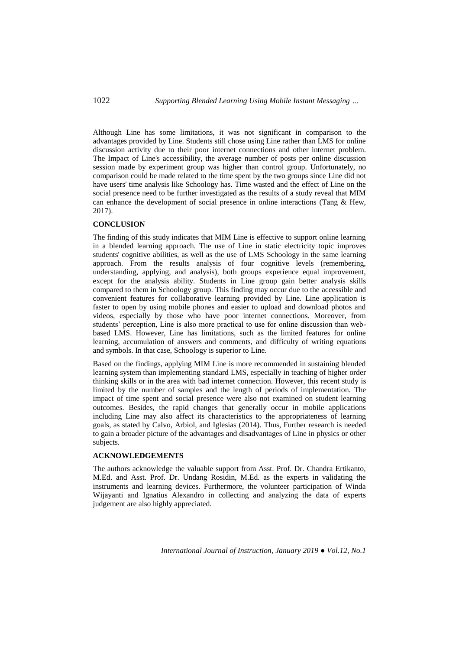Although Line has some limitations, it was not significant in comparison to the advantages provided by Line. Students still chose using Line rather than LMS for online discussion activity due to their poor internet connections and other internet problem. The Impact of Line's accessibility, the average number of posts per online discussion session made by experiment group was higher than control group. Unfortunately, no comparison could be made related to the time spent by the two groups since Line did not have users' time analysis like Schoology has. Time wasted and the effect of Line on the social presence need to be further investigated as the results of a study reveal that MIM can enhance the development of social presence in online interactions (Tang & Hew, 2017).

# **CONCLUSION**

The finding of this study indicates that MIM Line is effective to support online learning in a blended learning approach. The use of Line in static electricity topic improves students' cognitive abilities, as well as the use of LMS Schoology in the same learning approach. From the results analysis of four cognitive levels (remembering, understanding, applying, and analysis), both groups experience equal improvement, except for the analysis ability. Students in Line group gain better analysis skills compared to them in Schoology group. This finding may occur due to the accessible and convenient features for collaborative learning provided by Line. Line application is faster to open by using mobile phones and easier to upload and download photos and videos, especially by those who have poor internet connections. Moreover, from students' perception, Line is also more practical to use for online discussion than webbased LMS. However, Line has limitations, such as the limited features for online learning, accumulation of answers and comments, and difficulty of writing equations and symbols. In that case, Schoology is superior to Line.

Based on the findings, applying MIM Line is more recommended in sustaining blended learning system than implementing standard LMS, especially in teaching of higher order thinking skills or in the area with bad internet connection. However, this recent study is limited by the number of samples and the length of periods of implementation. The impact of time spent and social presence were also not examined on student learning outcomes. Besides, the rapid changes that generally occur in mobile applications including Line may also affect its characteristics to the appropriateness of learning goals, as stated by Calvo, Arbiol, and Iglesias (2014). Thus, Further research is needed to gain a broader picture of the advantages and disadvantages of Line in physics or other subjects.

# **ACKNOWLEDGEMENTS**

The authors acknowledge the valuable support from Asst. Prof. Dr. Chandra Ertikanto, M.Ed. and Asst. Prof. Dr. Undang Rosidin, M.Ed. as the experts in validating the instruments and learning devices. Furthermore, the volunteer participation of Winda Wijayanti and Ignatius Alexandro in collecting and analyzing the data of experts judgement are also highly appreciated.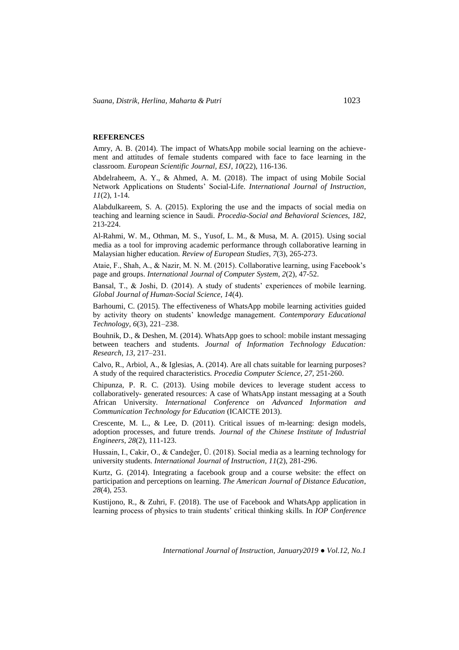#### **REFERENCES**

Amry, A. B. (2014). The impact of WhatsApp mobile social learning on the achievement and attitudes of female students compared with face to face learning in the classroom. *European Scientific Journal, ESJ*, *10*(22), 116-136.

Abdelraheem, A. Y., & Ahmed, A. M. (2018). The impact of using Mobile Social Network Applications on Students' Social-Life. *International Journal of Instruction*, *11*(2), 1-14.

Alabdulkareem, S. A. (2015). Exploring the use and the impacts of social media on teaching and learning science in Saudi. *Procedia-Social and Behavioral Sciences*, *182*, 213-224.

Al-Rahmi, W. M., Othman, M. S., Yusof, L. M., & Musa, M. A. (2015). Using social media as a tool for improving academic performance through collaborative learning in Malaysian higher education. *Review of European Studies*, *7*(3), 265-273.

Ataie, F., Shah, A., & Nazir, M. N. M. (2015). Collaborative learning, using Facebook's page and groups. *International Journal of Computer System*, *2*(2), 47-52.

Bansal, T., & Joshi, D. (2014). A study of students' experiences of mobile learning. *Global Journal of Human-Social Science*, *14*(4).

Barhoumi, C. (2015). The effectiveness of WhatsApp mobile learning activities guided by activity theory on students' knowledge management. *Contemporary Educational Technology*, *6*(3), 221–238.

Bouhnik, D., & Deshen, M. (2014). WhatsApp goes to school: mobile instant messaging between teachers and students. *Journal of Information Technology Education: Research*, *13*, 217–231.

Calvo, R., Arbiol, A., & Iglesias, A. (2014). Are all chats suitable for learning purposes? A study of the required characteristics. *Procedia Computer Science*, *27*, 251-260.

Chipunza, P. R. C. (2013). Using mobile devices to leverage student access to collaboratively- generated resources: A case of WhatsApp instant messaging at a South African University. *International Conference on Advanced Information and Communication Technology for Education* (ICAICTE 2013).

Crescente, M. L., & Lee, D. (2011). Critical issues of m-learning: design models, adoption processes, and future trends. *Journal of the Chinese Institute of Industrial Engineers*, *28*(2), 111-123.

Hussain, I., Cakir, O., & Candeğer, Ü. (2018). Social media as a learning technology for university students. *International Journal of Instruction*, *11*(2), 281-296.

Kurtz, G. (2014). Integrating a facebook group and a course website: the effect on participation and perceptions on learning. *The American Journal of Distance Education*, *28*(4), 253.

Kustijono, R., & Zuhri, F. (2018). The use of Facebook and WhatsApp application in learning process of physics to train students' critical thinking skills. In *IOP Conference*